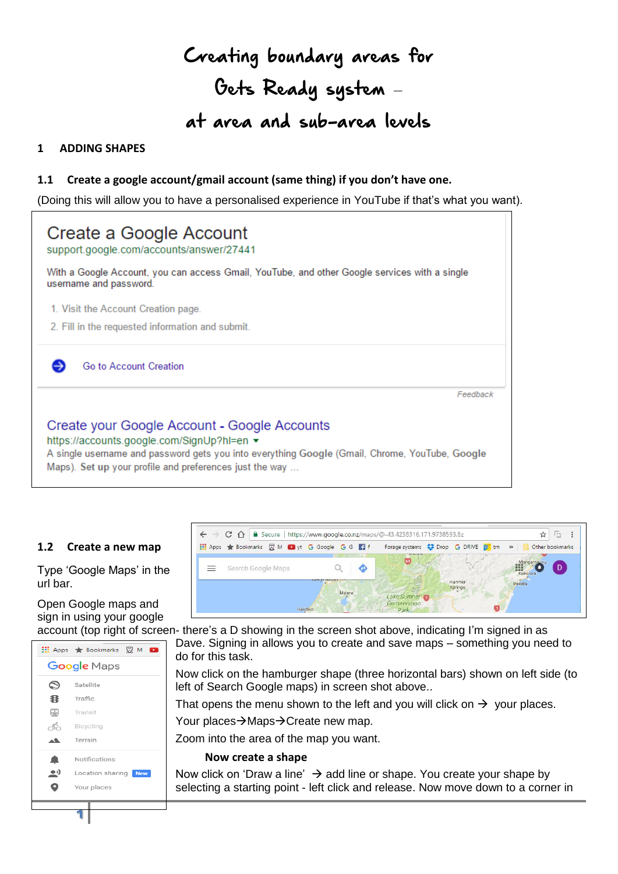# Creating boundary areas for Gets Ready system – at area and sub-area levels

### **1 ADDING SHAPES**

#### **1.1 Create a google account/gmail account (same thing) if you don't have one.**

(Doing this will allow you to have a personalised experience in YouTube if that's what you want).

| Create a Google Account<br>support.google.com/accounts/answer/27441                                                                                                                                                                                     |
|---------------------------------------------------------------------------------------------------------------------------------------------------------------------------------------------------------------------------------------------------------|
| With a Google Account, you can access Gmail, YouTube, and other Google services with a single<br>username and password.                                                                                                                                 |
| 1. Visit the Account Creation page.                                                                                                                                                                                                                     |
| 2. Fill in the requested information and submit.                                                                                                                                                                                                        |
| Go to Account Creation                                                                                                                                                                                                                                  |
| Feedback                                                                                                                                                                                                                                                |
| Create your Google Account - Google Accounts<br>https://accounts.google.com/SignUp?hl=en ▼<br>A single username and password gets you into everything Google (Gmail, Chrome, YouTube, Google<br>Maps). Set up your profile and preferences just the way |

#### **1.2 Create a new map**

Type 'Google Maps' in the url bar.

## Open Google maps and sign in using your google



**1**



account (top right of screen- there's a D showing in the screen shot above, indicating I'm signed in as Dave. Signing in allows you to create and save maps – something you need to do for this task.

> Now click on the hamburger shape (three horizontal bars) shown on left side (to left of Search Google maps) in screen shot above..

That opens the menu shown to the left and you will click on  $\rightarrow$  your places.

Your places $\rightarrow$ Maps $\rightarrow$ Create new map.

Zoom into the area of the map you want.

#### **Now create a shape**

Now click on 'Draw a line'  $\rightarrow$  add line or shape. You create your shape by selecting a starting point - left click and release. Now move down to a corner in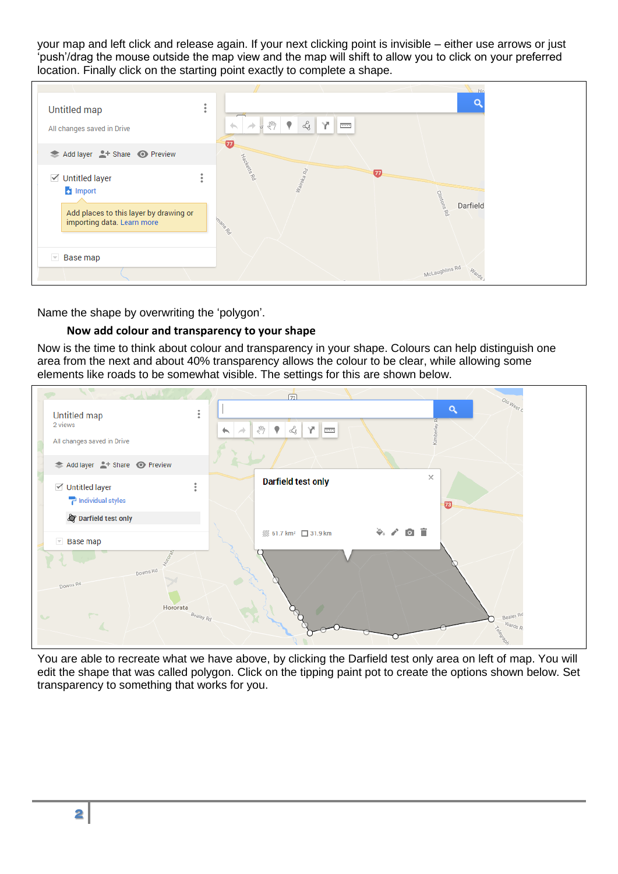your map and left click and release again. If your next clicking point is invisible – either use arrows or just 'push'/drag the mouse outside the map view and the map will shift to allow you to click on your preferred location. Finally click on the starting point exactly to complete a shape.

| Untitled map<br>All changes saved in Drive                           | ٠<br>٠ | $\overline{\phantom{0}}$<br>$\mathcal{L}_{\mathcal{G}}$<br>$v \sqrt[3]{2}$<br>$\left\langle \cdot , \cdot \right\rangle$<br>sin. | 平上画                   | O                       |
|----------------------------------------------------------------------|--------|----------------------------------------------------------------------------------------------------------------------------------|-----------------------|-------------------------|
| Add layer <sup>1</sup> Share O Preview                               |        | $\boldsymbol{\varpi}$                                                                                                            |                       |                         |
| <b>√</b> Untitled layer<br>mport                                     | ٠      | Hadrette Ró<br>Walreka Rd                                                                                                        | $\boldsymbol{\varpi}$ |                         |
| Add places to this layer by drawing or<br>importing data. Learn more |        | mano Rd                                                                                                                          |                       | Clintons Rd<br>Darfield |
| $\overline{\phantom{a}}$ Base map                                    |        |                                                                                                                                  |                       |                         |
|                                                                      |        |                                                                                                                                  |                       | McLaughlins Rd<br>Warde |

Name the shape by overwriting the 'polygon'.

#### **Now add colour and transparency to your shape**

Now is the time to think about colour and transparency in your shape. Colours can help distinguish one area from the next and about 40% transparency allows the colour to be clear, while allowing some elements like roads to be somewhat visible. The settings for this are shown below.



You are able to recreate what we have above, by clicking the Darfield test only area on left of map. You will edit the shape that was called polygon. Click on the tipping paint pot to create the options shown below. Set transparency to something that works for you.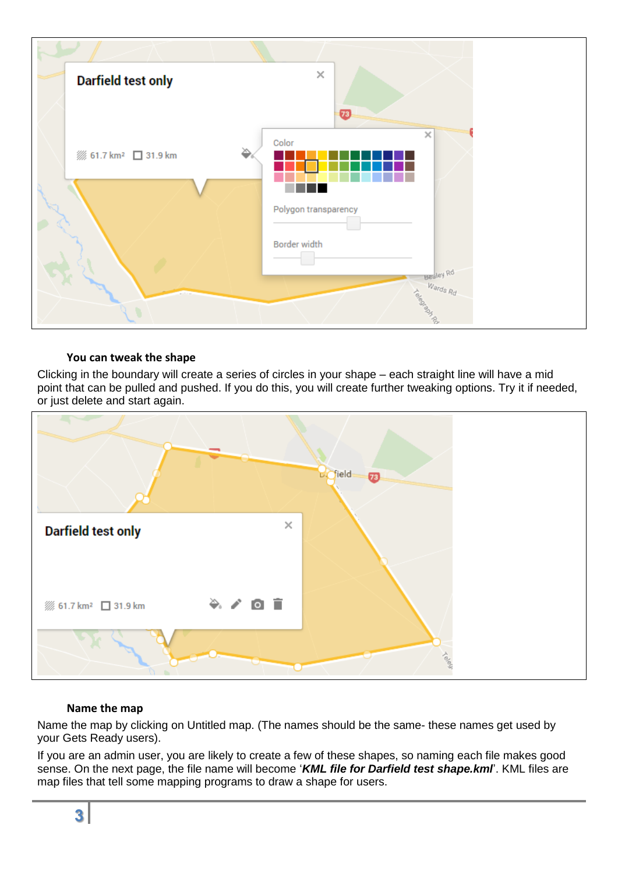

#### **You can tweak the shape**

Clicking in the boundary will create a series of circles in your shape – each straight line will have a mid point that can be pulled and pushed. If you do this, you will create further tweaking options. Try it if needed, or just delete and start again.



#### **Name the map**

Name the map by clicking on Untitled map. (The names should be the same- these names get used by your Gets Ready users).

If you are an admin user, you are likely to create a few of these shapes, so naming each file makes good sense. On the next page, the file name will become '*KML file for Darfield test shape.kml*'. KML files are map files that tell some mapping programs to draw a shape for users.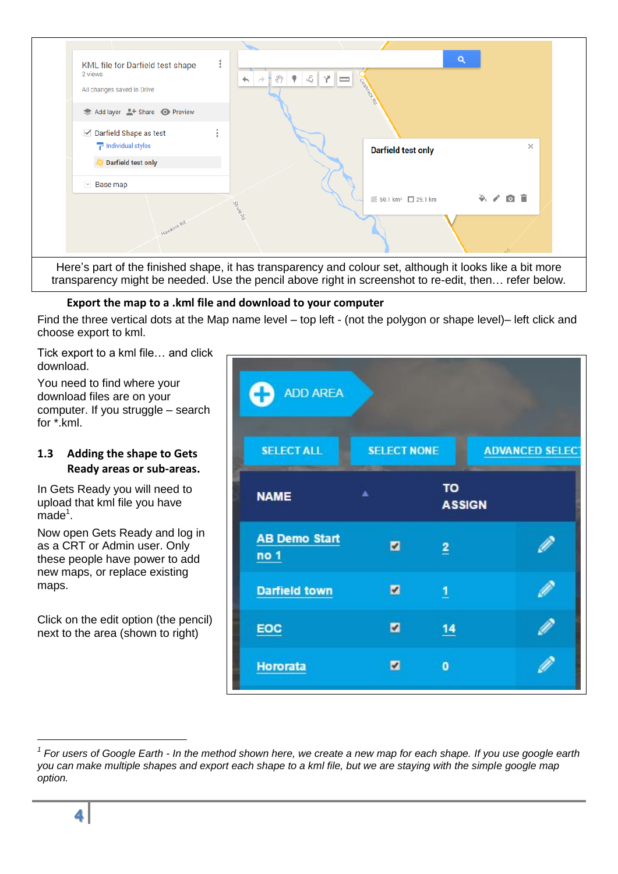

#### **Export the map to a .kml file and download to your computer**

Find the three vertical dots at the Map name level – top left - (not the polygon or shape level)– left click and choose export to kml.

Tick export to a kml file… and click download.

You need to find where your download files are on your computer. If you struggle – search for \*.kml.

#### **1.3 Adding the shape to Gets Ready areas or sub-areas.**

In Gets Ready you will need to upload that kml file you have  $m$ ade $1$ .

Now open Gets Ready and log in as a CRT or Admin user. Only these people have power to add new maps, or replace existing maps.

Click on the edit option (the pencil) next to the area (shown to right)

| Œ<br><b>ADD AREA</b>         |                    |                     |                        |  |
|------------------------------|--------------------|---------------------|------------------------|--|
| <b>SELECT ALL</b>            | <b>SELECT NONE</b> |                     | <b>ADVANCED SELECT</b> |  |
| <b>NAME</b>                  | ۸                  | TO<br><b>ASSIGN</b> |                        |  |
| <b>AB Demo Start</b><br>no 1 | M                  | $\overline{2}$      |                        |  |
| <b>Darfield town</b>         | M                  | $\overline{1}$      |                        |  |
| EOC                          | M                  | 14                  |                        |  |
| <b>Hororata</b>              | z                  | $\bullet$           |                        |  |

-

*<sup>1</sup> For users of Google Earth - In the method shown here, we create a new map for each shape. If you use google earth you can make multiple shapes and export each shape to a kml file, but we are staying with the simple google map option.*